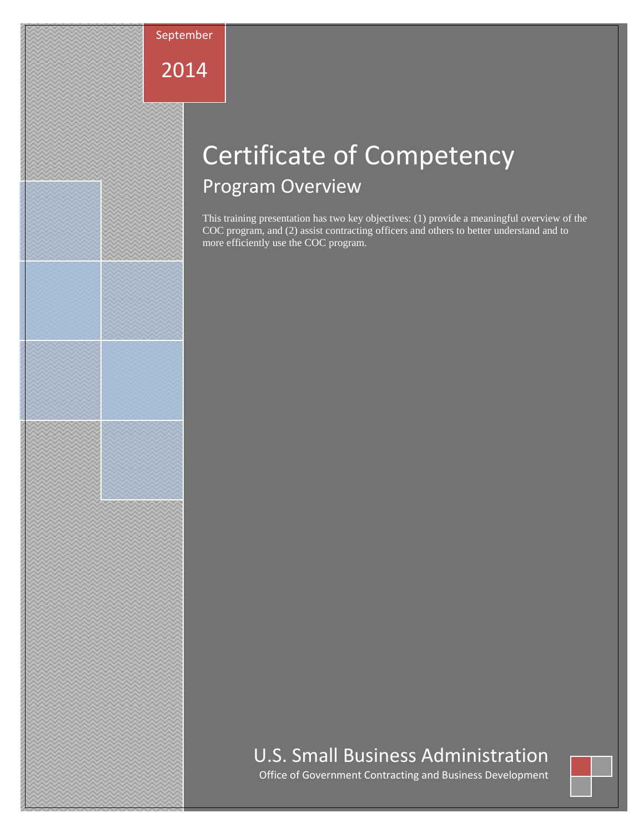

2014

# Certificate of Competency Program Overview

This training presentation has two key objectives: (1) provide a meaningful overview of the COC program, and (2) assist contracting officers and others to better understand and to more efficiently use the COC program.

## U.S. Small Business Administration

Office of Government Contracting and Business Development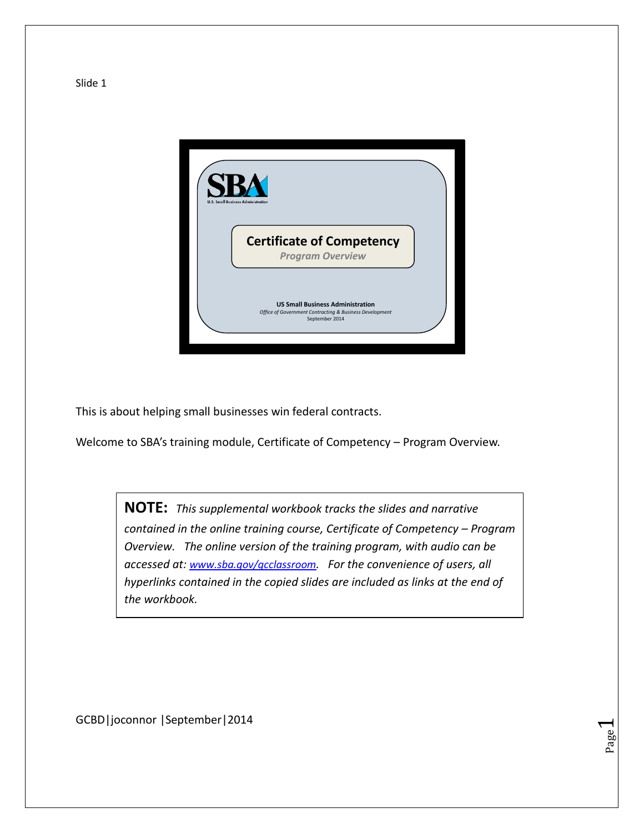

This is about helping small businesses win federal contracts.

Welcome to SBA's training module, Certificate of Competency – Program Overview.

**NOTE:** *This supplemental workbook tracks the slides and narrative contained in the online training course, Certificate of Competency – Program Overview. The online version of the training program, with audio can be accessed at: [www.sba.gov/gcclassroom](http://www.sba.gov/gcclassroom). For the convenience of users, all hyperlinks contained in the copied slides are included as links at the end of the workbook.*

> Page  $\overline{\phantom{0}}$

GCBD|joconnor |September|2014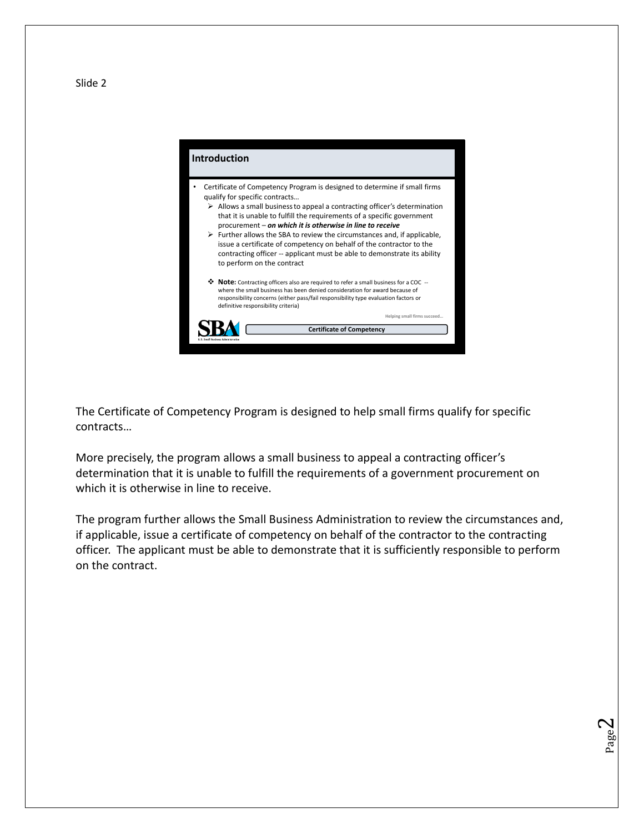#### **Introduction** • Certificate of Competency Program is designed to determine if small firms qualify for specific contracts…  $\triangleright$  Allows a small business to appeal a contracting officer's determination that it is unable to fulfill the requirements of a specific government procurement – *on which it is otherwise in line to receive*  $\triangleright$  Further allows the SBA to review the circumstances and, if applicable, issue a certificate of competency on behalf of the contractor to the contracting officer -- applicant must be able to demonstrate its ability to perform on the contract **Note:** Contracting officers also are required to refer a small business for a COC - where the small business has been denied consideration for award because of responsibility concerns (either pass/fail responsibility type evaluation factors or definitive responsibility criteria) **Helping small firms succeed…**  SBA **Certificate of Competency**

The Certificate of Competency Program is designed to help small firms qualify for specific contracts…

More precisely, the program allows a small business to appeal a contracting officer's determination that it is unable to fulfill the requirements of a government procurement on which it is otherwise in line to receive.

The program further allows the Small Business Administration to review the circumstances and, if applicable, issue a certificate of competency on behalf of the contractor to the contracting officer. The applicant must be able to demonstrate that it is sufficiently responsible to perform on the contract.

> Page  $\boldsymbol{\sim}$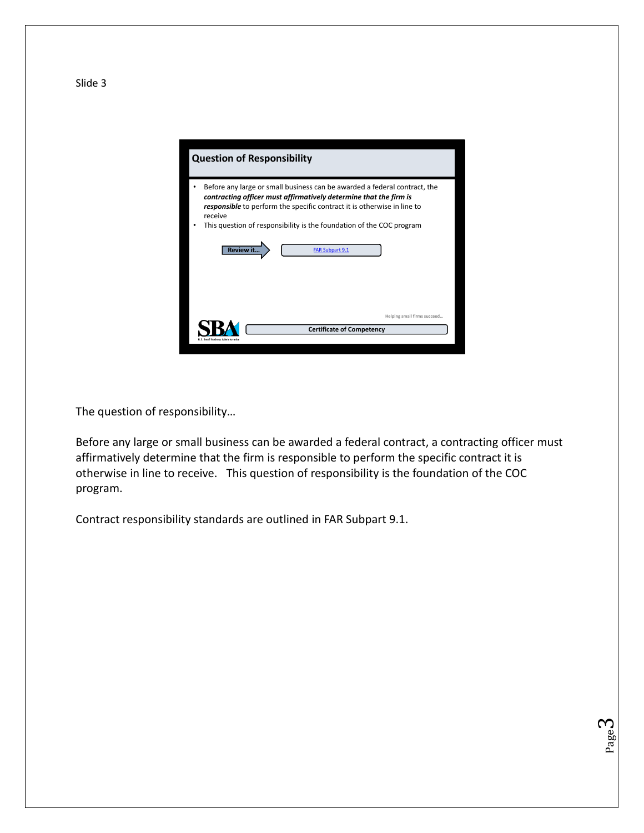

The question of responsibility…

Before any large or small business can be awarded a federal contract, a contracting officer must affirmatively determine that the firm is responsible to perform the specific contract it is otherwise in line to receive. This question of responsibility is the foundation of the COC program.

> Page ო

Contract responsibility standards are outlined in FAR Subpart 9.1.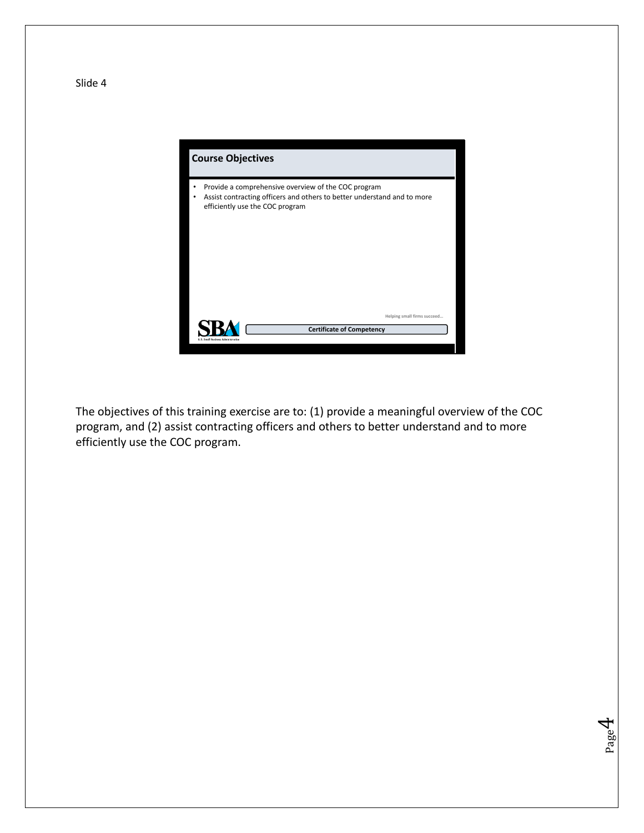

The objectives of this training exercise are to: (1) provide a meaningful overview of the COC program, and (2) assist contracting officers and others to better understand and to more efficiently use the COC program.

> Page  $\overline{\mathcal{A}}$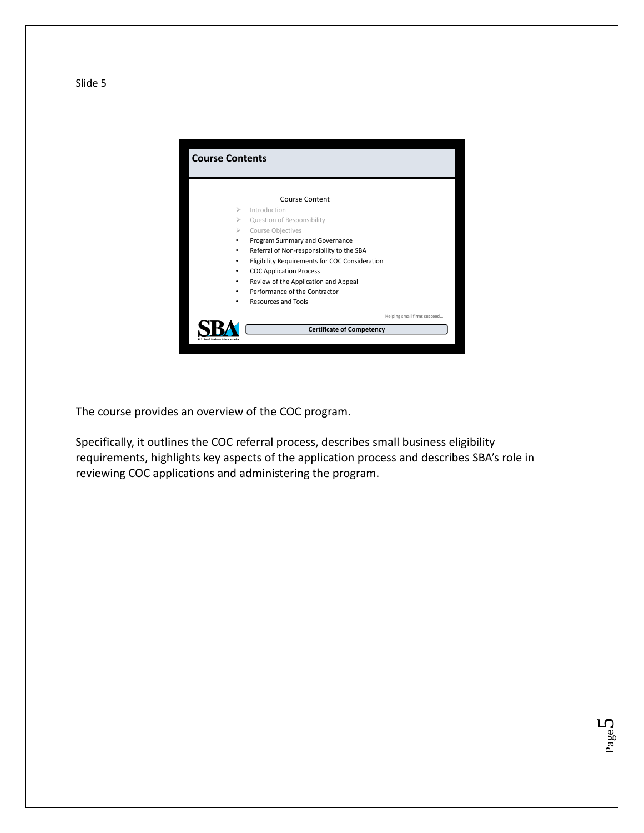

The course provides an overview of the COC program.

Specifically, it outlines the COC referral process, describes small business eligibility requirements, highlights key aspects of the application process and describes SBA's role in reviewing COC applications and administering the program.

> Page L∩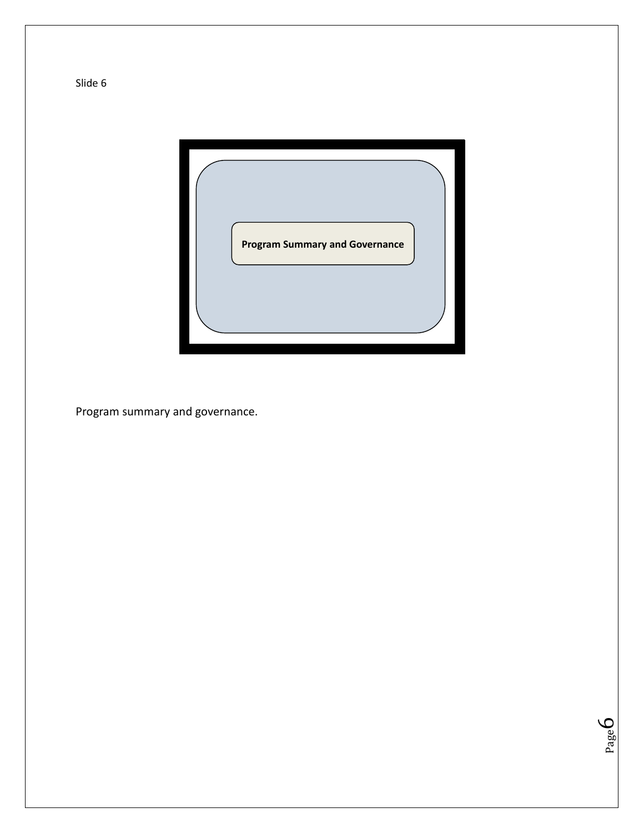

Page 6

Program summary and governance.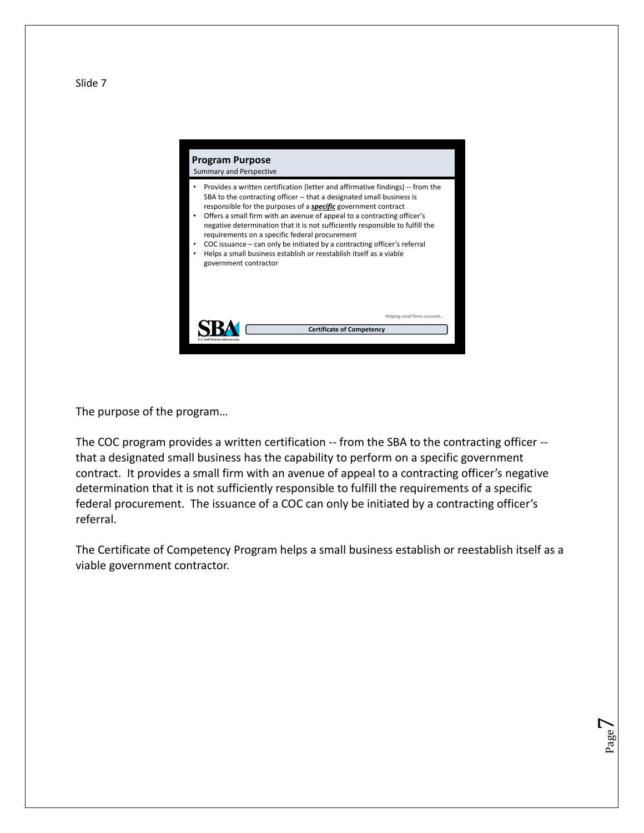#### **Program Purpose** Summary and Perspective

**SBA** 

• Provides a written certification (letter and affirmative findings) -- from the SBA to the contracting officer -- that a designated small business is responsible for the purposes of a *specific* government contract

**Certificate of Competency** 

**Helping small firms succeed…** 

- Offers a small firm with an avenue of appeal to a contracting officer's negative determination that it is not sufficiently responsible to fulfill the requirements on a specific federal procurement
- COC issuance can only be initiated by a contracting officer's referral
- Helps a small business establish or reestablish itself as a viable government contractor

The purpose of the program…

The COC program provides a written certification -- from the SBA to the contracting officer -that a designated small business has the capability to perform on a specific government contract. It provides a small firm with an avenue of appeal to a contracting officer's negative determination that it is not sufficiently responsible to fulfill the requirements of a specific federal procurement. The issuance of a COC can only be initiated by a contracting officer's referral.

The Certificate of Competency Program helps a small business establish or reestablish itself as a viable government contractor.

> Page  $\overline{\phantom{0}}$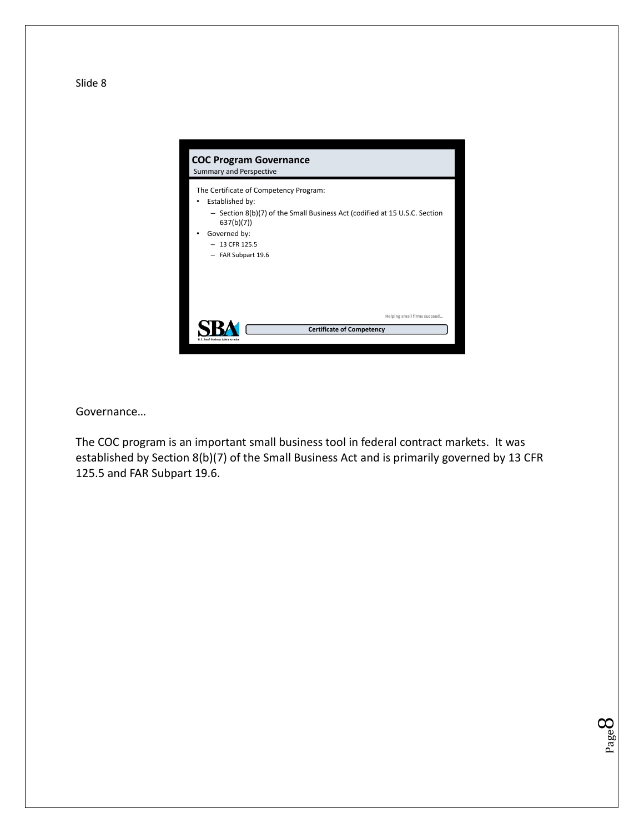

Governance…

The COC program is an important small business tool in federal contract markets. It was established by Section 8(b)(7) of the Small Business Act and is primarily governed by 13 CFR 125.5 and FAR Subpart 19.6.

> Page  $\infty$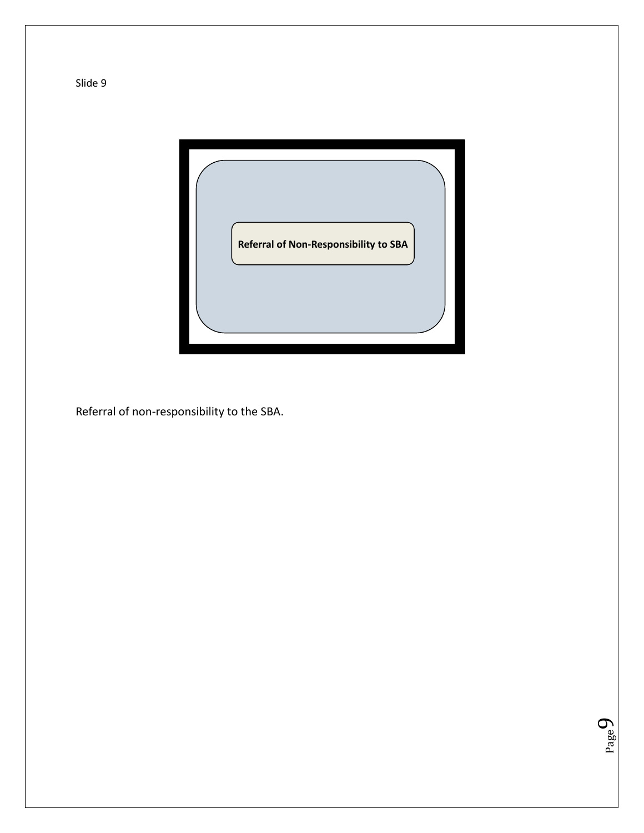

Page  $\sigma$ 

Referral of non-responsibility to the SBA.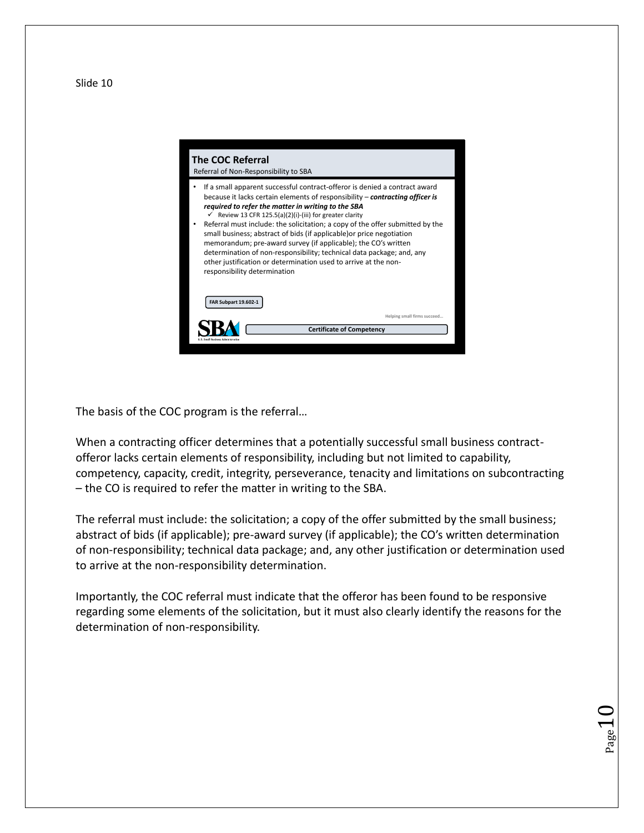

The basis of the COC program is the referral…

When a contracting officer determines that a potentially successful small business contractofferor lacks certain elements of responsibility, including but not limited to capability, competency, capacity, credit, integrity, perseverance, tenacity and limitations on subcontracting – the CO is required to refer the matter in writing to the SBA.

The referral must include: the solicitation; a copy of the offer submitted by the small business; abstract of bids (if applicable); pre-award survey (if applicable); the CO's written determination of non-responsibility; technical data package; and, any other justification or determination used to arrive at the non-responsibility determination.

Importantly, the COC referral must indicate that the offeror has been found to be responsive regarding some elements of the solicitation, but it must also clearly identify the reasons for the determination of non-responsibility.

 $_{\rm Page}10$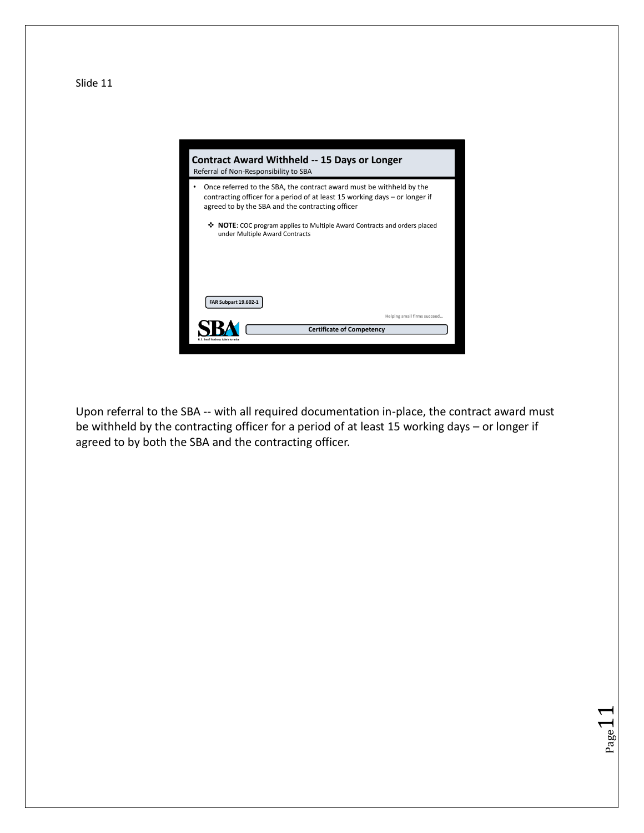

Upon referral to the SBA -- with all required documentation in-place, the contract award must be withheld by the contracting officer for a period of at least 15 working days – or longer if agreed to by both the SBA and the contracting officer.

Page-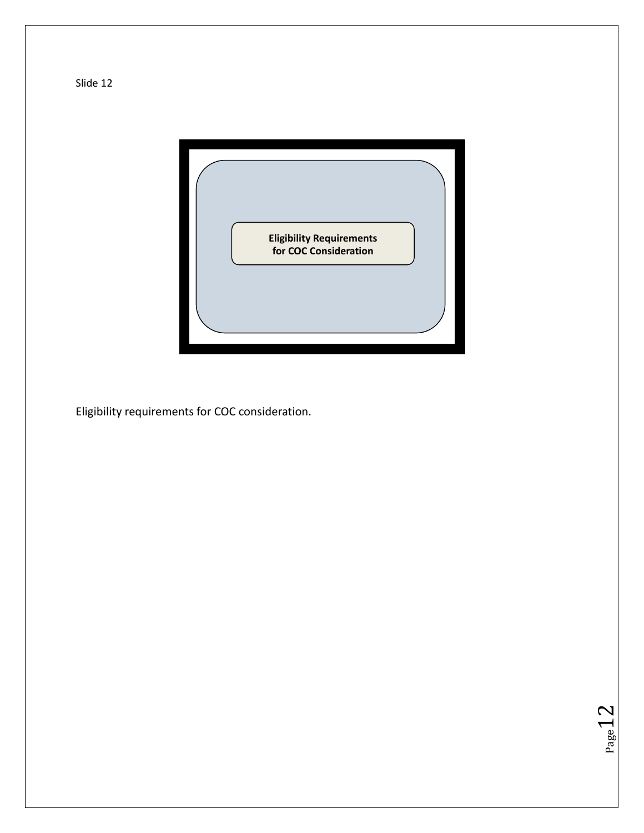



 $Page12$ 

Eligibility requirements for COC consideration.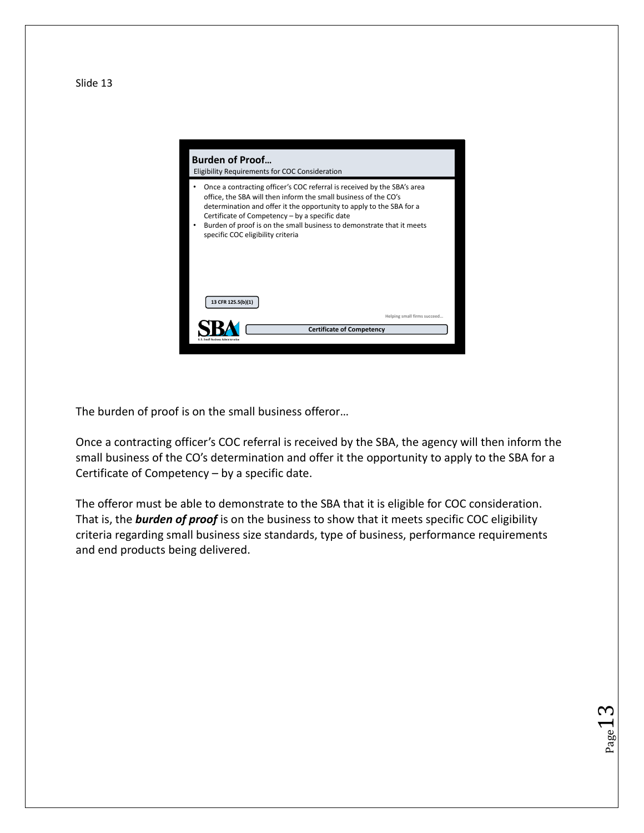

The burden of proof is on the small business offeror…

Once a contracting officer's COC referral is received by the SBA, the agency will then inform the small business of the CO's determination and offer it the opportunity to apply to the SBA for a Certificate of Competency – by a specific date.

The offeror must be able to demonstrate to the SBA that it is eligible for COC consideration. That is, the *burden of proof* is on the business to show that it meets specific COC eligibility criteria regarding small business size standards, type of business, performance requirements and end products being delivered.

 $_{\rm Page}$ 13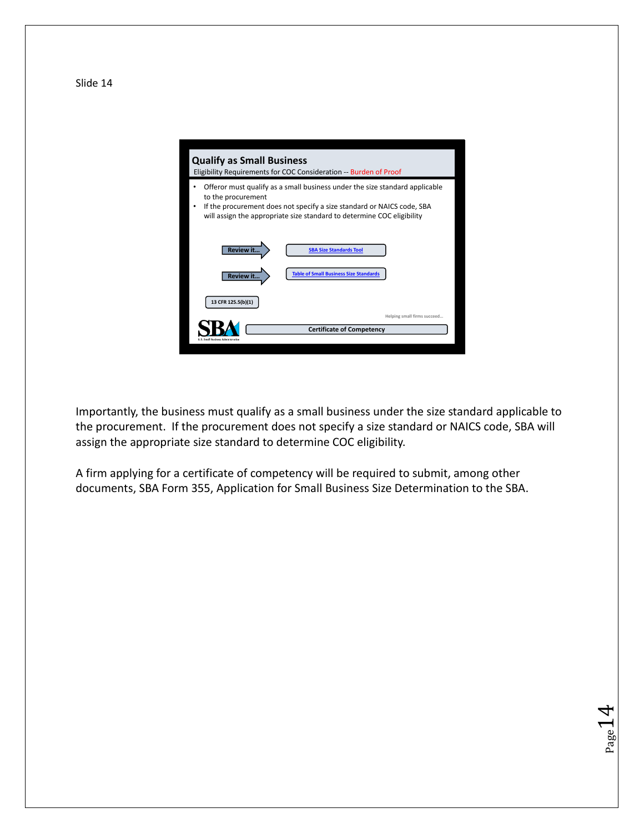**Qualify as Small Business** Eligibility Requirements for COC Consideration -- Burden of Proof • Offeror must qualify as a small business under the size standard applicable to the procurement • If the procurement does not specify a size standard or NAICS code, SBA will assign the appropriate size standard to determine COC eligibility **SBA Size Standards Tool Table of Small Business Size Standards 13 CFR 125.5(b)(1) Helping small firms succeed… SBA Certificate of Competency** 

Importantly, the business must qualify as a small business under the size standard applicable to the procurement. If the procurement does not specify a size standard or NAICS code, SBA will assign the appropriate size standard to determine COC eligibility.

Page.

A firm applying for a certificate of competency will be required to submit, among other documents, SBA Form 355, Application for Small Business Size Determination to the SBA.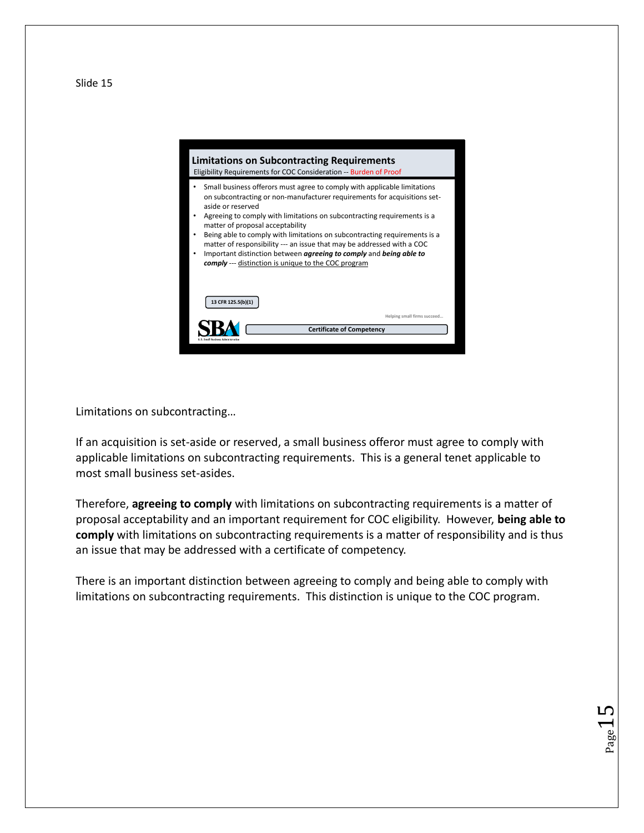

Limitations on subcontracting…

If an acquisition is set-aside or reserved, a small business offeror must agree to comply with applicable limitations on subcontracting requirements. This is a general tenet applicable to most small business set-asides.

Therefore, **agreeing to comply** with limitations on subcontracting requirements is a matter of proposal acceptability and an important requirement for COC eligibility. However, **being able to comply** with limitations on subcontracting requirements is a matter of responsibility and is thus an issue that may be addressed with a certificate of competency.

There is an important distinction between agreeing to comply and being able to comply with limitations on subcontracting requirements. This distinction is unique to the COC program.

 $_{\rm Page}15$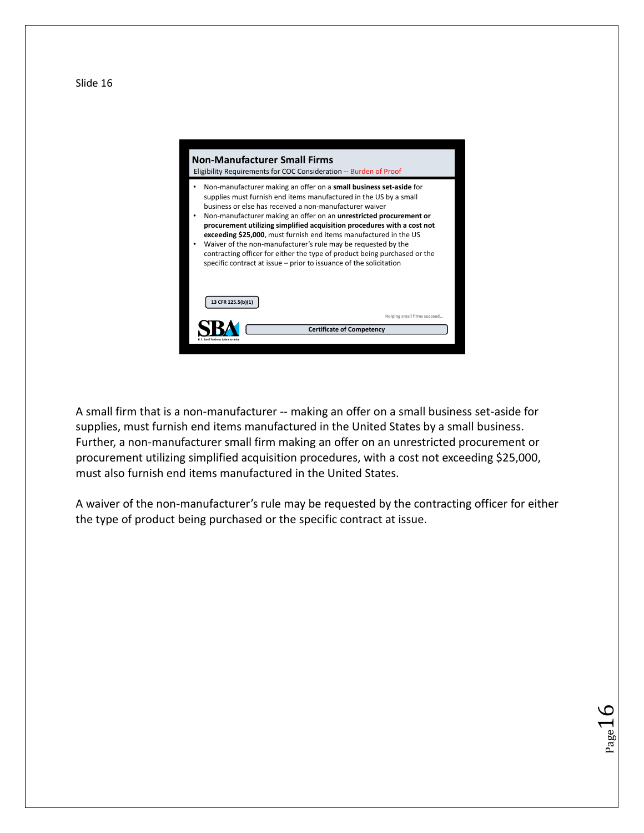

A small firm that is a non-manufacturer -- making an offer on a small business set-aside for supplies, must furnish end items manufactured in the United States by a small business. Further, a non-manufacturer small firm making an offer on an unrestricted procurement or procurement utilizing simplified acquisition procedures, with a cost not exceeding \$25,000, must also furnish end items manufactured in the United States.

A waiver of the non-manufacturer's rule may be requested by the contracting officer for either the type of product being purchased or the specific contract at issue.

 $_{\rm Page}16$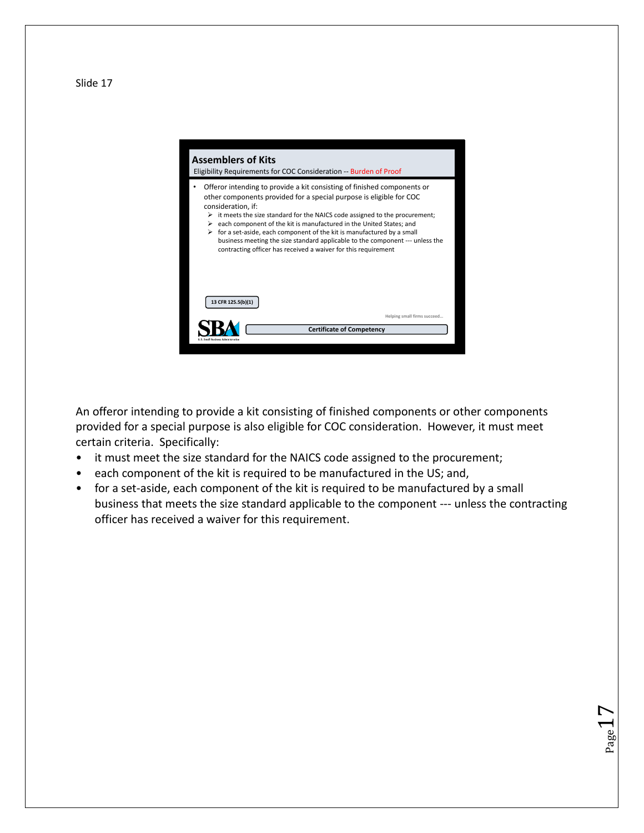



An offeror intending to provide a kit consisting of finished components or other components provided for a special purpose is also eligible for COC consideration. However, it must meet certain criteria. Specifically:

- it must meet the size standard for the NAICS code assigned to the procurement;
- each component of the kit is required to be manufactured in the US; and,
- for a set-aside, each component of the kit is required to be manufactured by a small business that meets the size standard applicable to the component --- unless the contracting officer has received a waiver for this requirement.

 $_{\rm Page}17$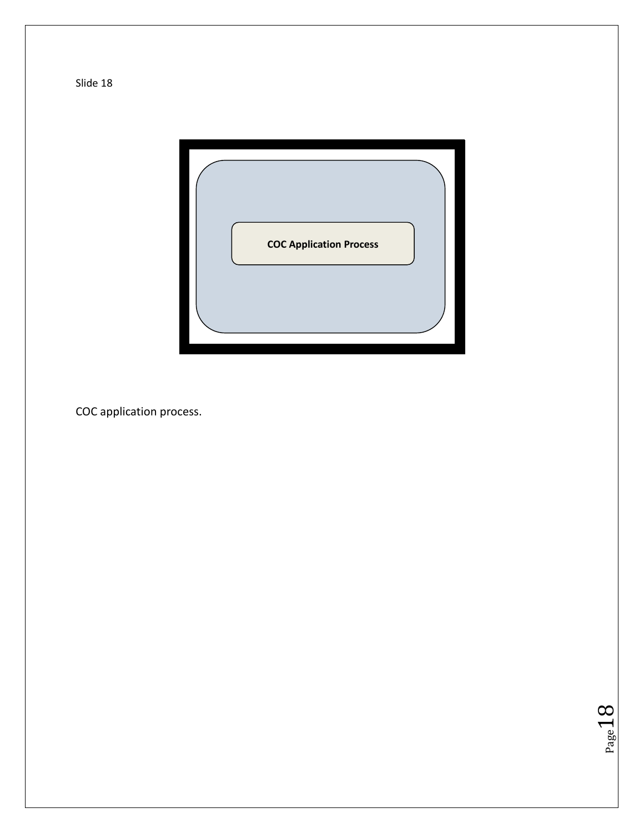

COC application process.

 $Page18$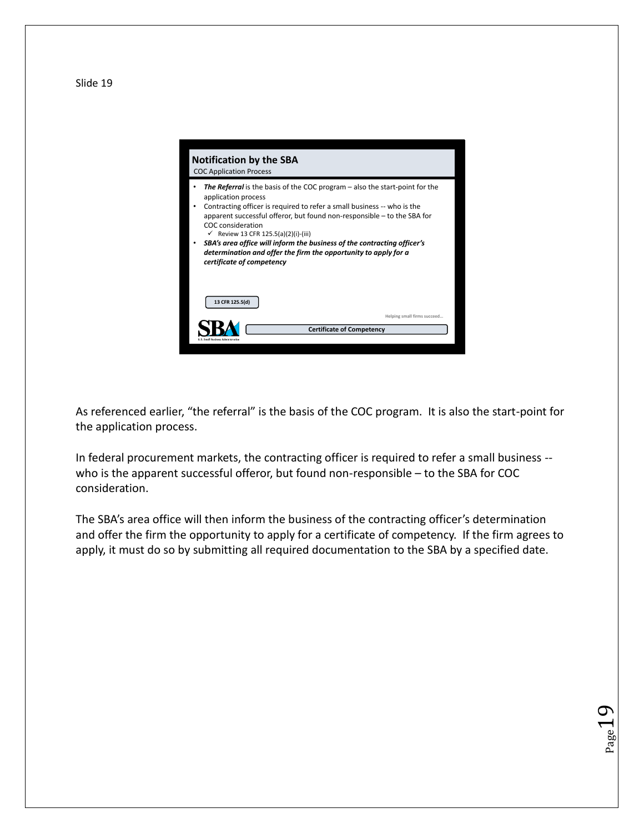

As referenced earlier, "the referral" is the basis of the COC program. It is also the start-point for the application process.

In federal procurement markets, the contracting officer is required to refer a small business - who is the apparent successful offeror, but found non-responsible – to the SBA for COC consideration.

The SBA's area office will then inform the business of the contracting officer's determination and offer the firm the opportunity to apply for a certificate of competency. If the firm agrees to apply, it must do so by submitting all required documentation to the SBA by a specified date.

 $_{\rm Page}$ 19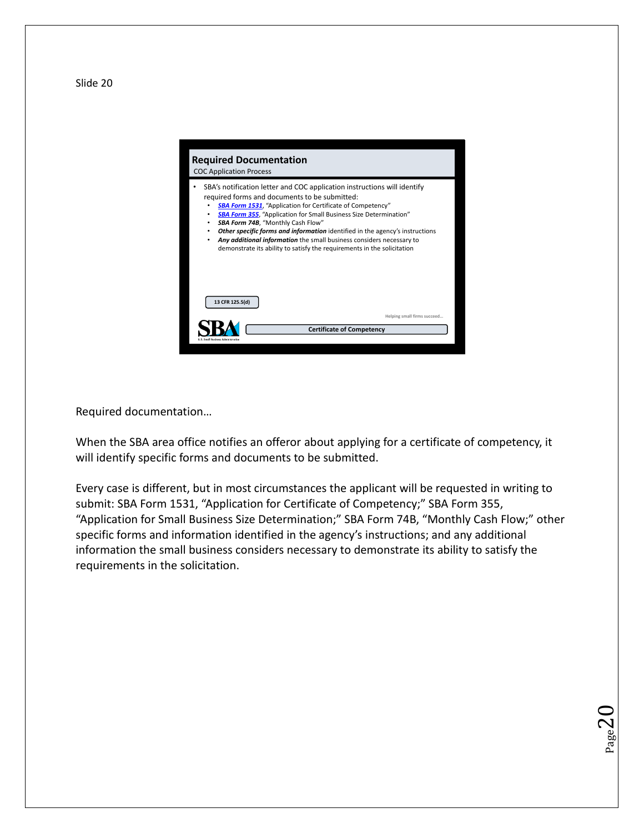**Required Documentation** COC Application Process SBA's notification letter and COC application instructions will identify required forms and documents to be submitted: **SBA Form 1531**, "Application for Certificate of Competency" • *SBA Form 355*, "Application for Small Business Size Determination" • *SBA Form 74B*, "Monthly Cash Flow" • *Other specific forms and information* identified in the agency's instructions • *Any additional information* the small business considers necessary to demonstrate its ability to satisfy the requirements in the solicitation **13 CFR 125.5(d) Helping small firms sure SBA Certificate of Competency** 

Required documentation…

When the SBA area office notifies an offeror about applying for a certificate of competency, it will identify specific forms and documents to be submitted.

Every case is different, but in most circumstances the applicant will be requested in writing to submit: SBA Form 1531, "Application for Certificate of Competency;" SBA Form 355, "Application for Small Business Size Determination;" SBA Form 74B, "Monthly Cash Flow;" other specific forms and information identified in the agency's instructions; and any additional information the small business considers necessary to demonstrate its ability to satisfy the requirements in the solicitation.

 $_{\rm Page}$ 20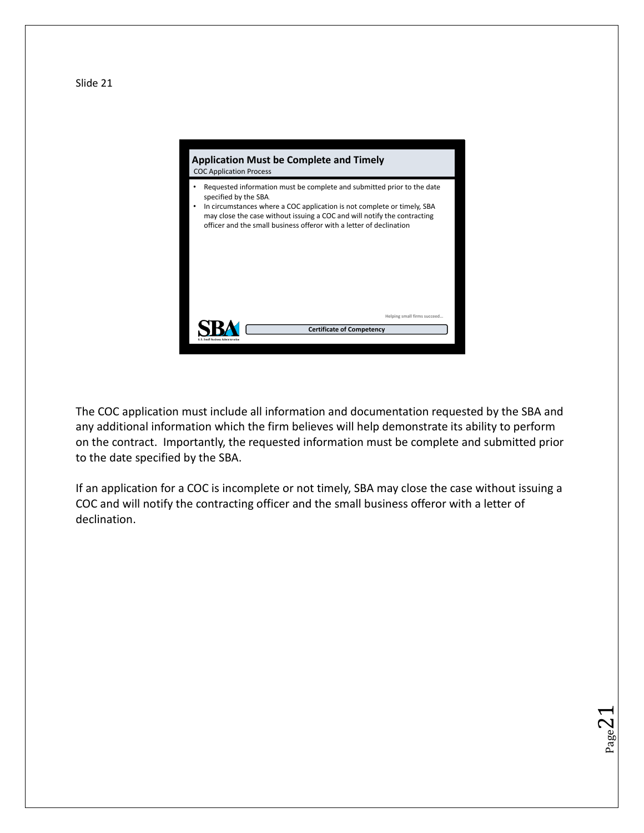

The COC application must include all information and documentation requested by the SBA and any additional information which the firm believes will help demonstrate its ability to perform on the contract. Importantly, the requested information must be complete and submitted prior to the date specified by the SBA.

If an application for a COC is incomplete or not timely, SBA may close the case without issuing a COC and will notify the contracting officer and the small business offeror with a letter of declination.

Page  $\angle$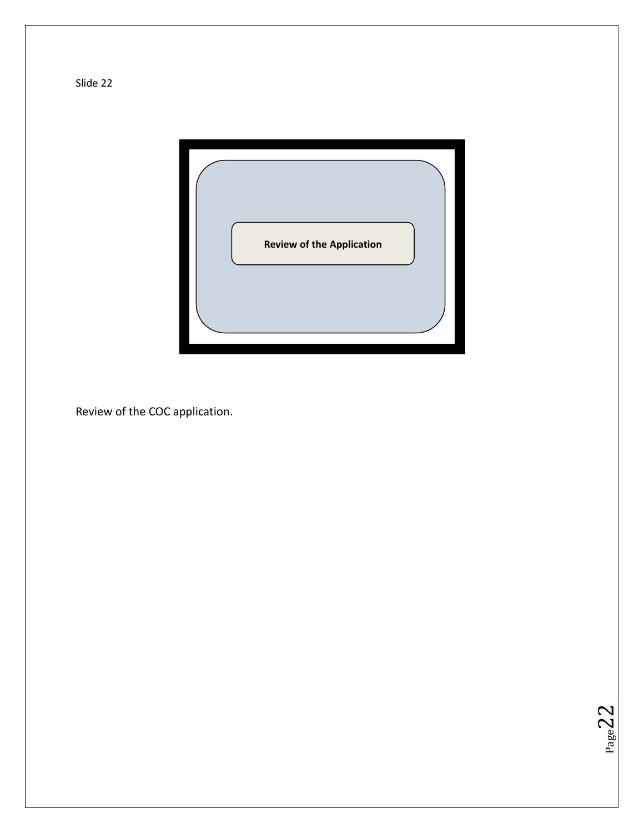

 $Page22$ 

Review of the COC application.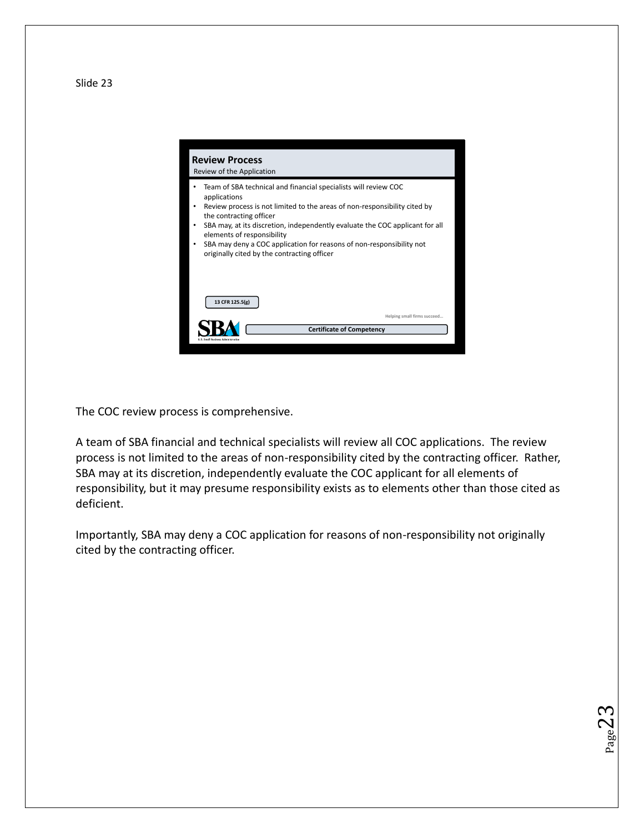**Review Process** Review of the Application • Team of SBA technical and financial specialists will review COC applications • Review process is not limited to the areas of non-responsibility cited by the contracting officer • SBA may, at its discretion, independently evaluate the COC applicant for all elements of responsibility • SBA may deny a COC application for reasons of non-responsibility not originally cited by the contracting officer **13 CFR 125.5(g) Helping small firms succeed… SBA Certificate of Competency** 

The COC review process is comprehensive.

A team of SBA financial and technical specialists will review all COC applications. The review process is not limited to the areas of non-responsibility cited by the contracting officer. Rather, SBA may at its discretion, independently evaluate the COC applicant for all elements of responsibility, but it may presume responsibility exists as to elements other than those cited as deficient.

Importantly, SBA may deny a COC application for reasons of non-responsibility not originally cited by the contracting officer.

Page  $\angle$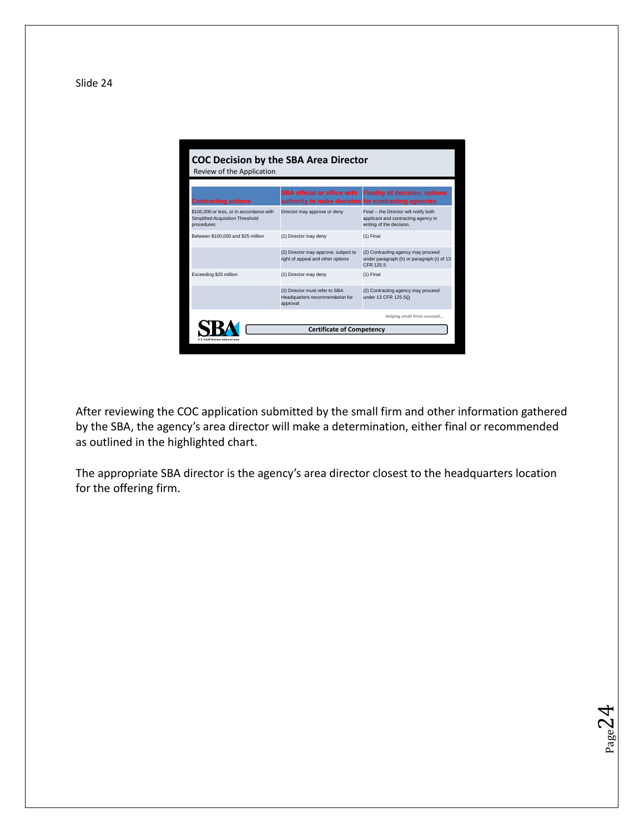

After reviewing the COC application submitted by the small firm and other information gathered by the SBA, the agency's area director will make a determination, either final or recommended as outlined in the highlighted chart.

The appropriate SBA director is the agency's area director closest to the headquarters location for the offering firm.

 $Page24$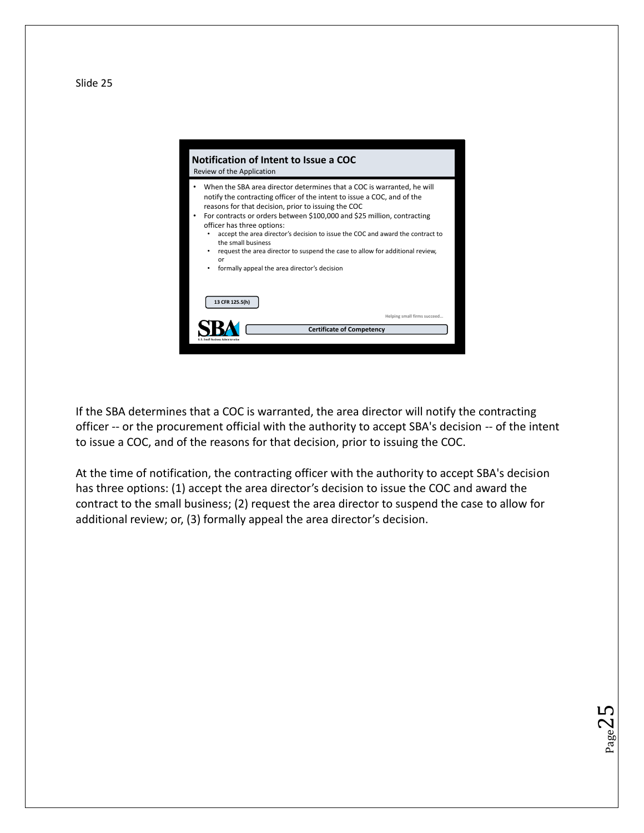



If the SBA determines that a COC is warranted, the area director will notify the contracting officer -- or the procurement official with the authority to accept SBA's decision -- of the intent to issue a COC, and of the reasons for that decision, prior to issuing the COC.

At the time of notification, the contracting officer with the authority to accept SBA's decision has three options: (1) accept the area director's decision to issue the COC and award the contract to the small business; (2) request the area director to suspend the case to allow for additional review; or, (3) formally appeal the area director's decision.

 $_{\rm Page}$ 25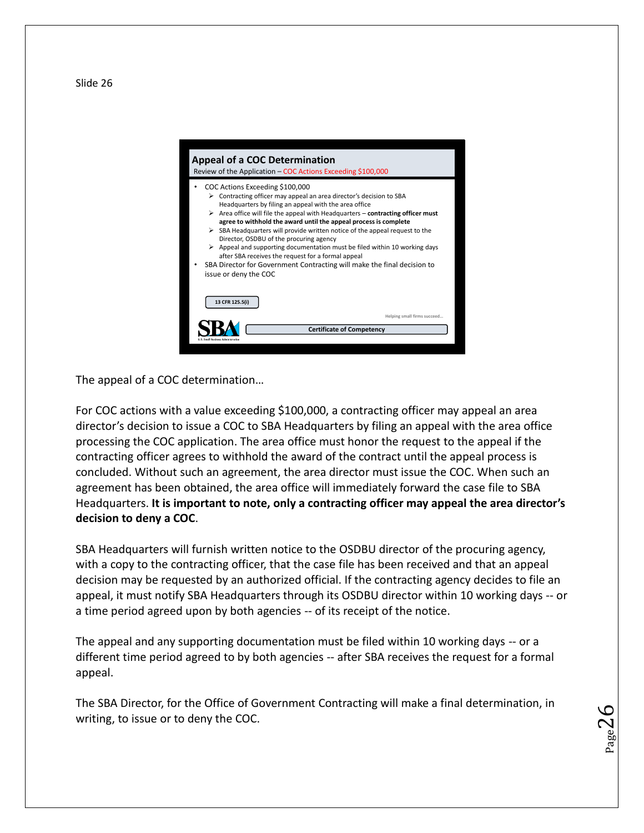

The appeal of a COC determination…

For COC actions with a value exceeding \$100,000, a contracting officer may appeal an area director's decision to issue a COC to SBA Headquarters by filing an appeal with the area office processing the COC application. The area office must honor the request to the appeal if the contracting officer agrees to withhold the award of the contract until the appeal process is concluded. Without such an agreement, the area director must issue the COC. When such an agreement has been obtained, the area office will immediately forward the case file to SBA Headquarters. **It is important to note, only a contracting officer may appeal the area director's decision to deny a COC**.

SBA Headquarters will furnish written notice to the OSDBU director of the procuring agency, with a copy to the contracting officer, that the case file has been received and that an appeal decision may be requested by an authorized official. If the contracting agency decides to file an appeal, it must notify SBA Headquarters through its OSDBU director within 10 working days -- or a time period agreed upon by both agencies -- of its receipt of the notice.

The appeal and any supporting documentation must be filed within 10 working days -- or a different time period agreed to by both agencies -- after SBA receives the request for a formal appeal.

The SBA Director, for the Office of Government Contracting will make a final determination, in writing, to issue or to deny the COC.

 $_{\rm Page}$ 26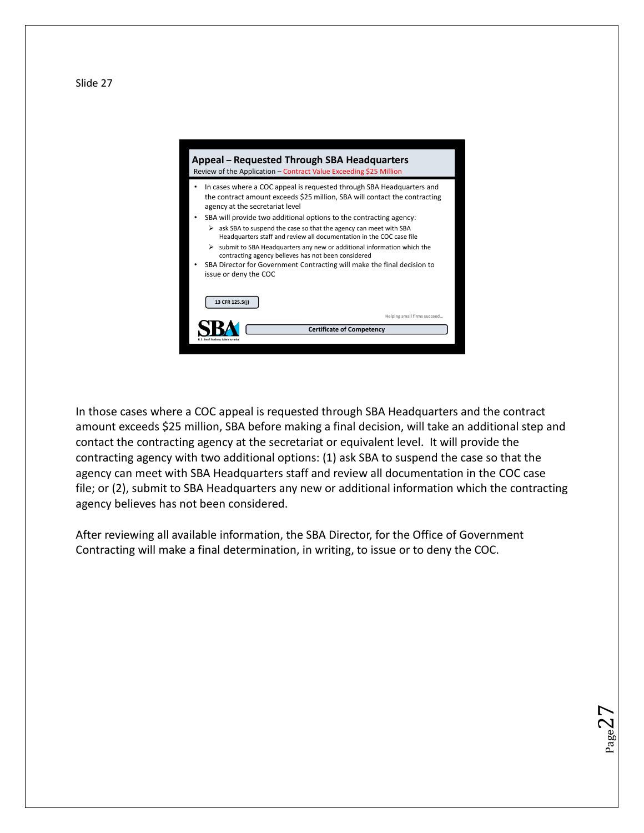

#### **Appeal – Requested Through SBA Headquarters** Review of the Application – Contract Value Exceeding \$25 Million • In cases where a COC appeal is requested through SBA Headquarters and the contract amount exceeds \$25 million, SBA will contact the contracting agency at the secretariat level SBA will provide two additional options to the contracting agency:  $\geq$  ask SBA to suspend the case so that the agency can meet with SBA Headquarters staff and review all documentation in the COC case file  $\triangleright$  submit to SBA Headquarters any new or additional information which the contracting agency believes has not been considered • SBA Director for Government Contracting will make the final decision to issue or deny the COC **13 CFR 125.5(j) Helping small firms succeed… SBA Certificate of Competency**

In those cases where a COC appeal is requested through SBA Headquarters and the contract amount exceeds \$25 million, SBA before making a final decision, will take an additional step and contact the contracting agency at the secretariat or equivalent level. It will provide the contracting agency with two additional options: (1) ask SBA to suspend the case so that the agency can meet with SBA Headquarters staff and review all documentation in the COC case file; or (2), submit to SBA Headquarters any new or additional information which the contracting agency believes has not been considered.

 $_{\rm Page}$ 27

After reviewing all available information, the SBA Director, for the Office of Government Contracting will make a final determination, in writing, to issue or to deny the COC.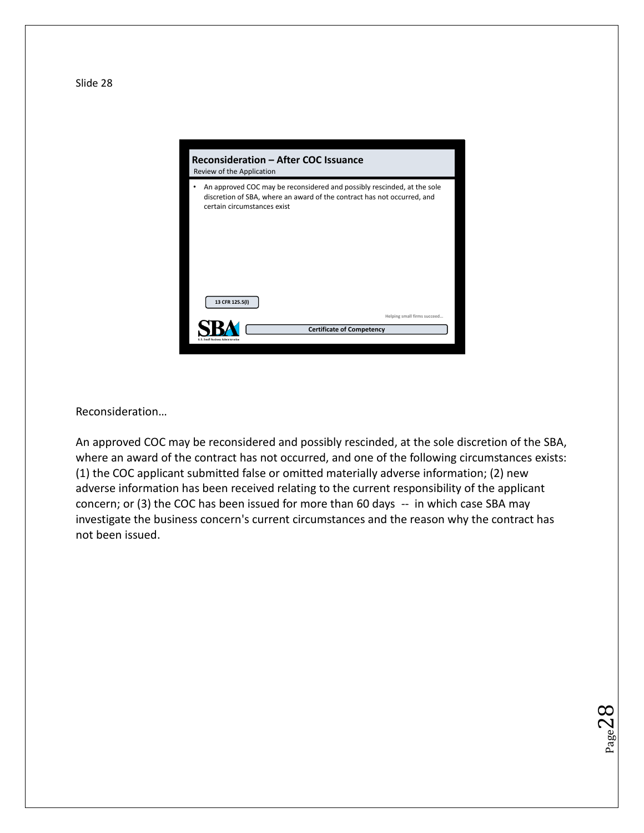

Reconsideration…

An approved COC may be reconsidered and possibly rescinded, at the sole discretion of the SBA, where an award of the contract has not occurred, and one of the following circumstances exists: (1) the COC applicant submitted false or omitted materially adverse information; (2) new adverse information has been received relating to the current responsibility of the applicant concern; or (3) the COC has been issued for more than 60 days -- in which case SBA may investigate the business concern's current circumstances and the reason why the contract has not been issued.

 $_{\rm Page}$ 2 $8$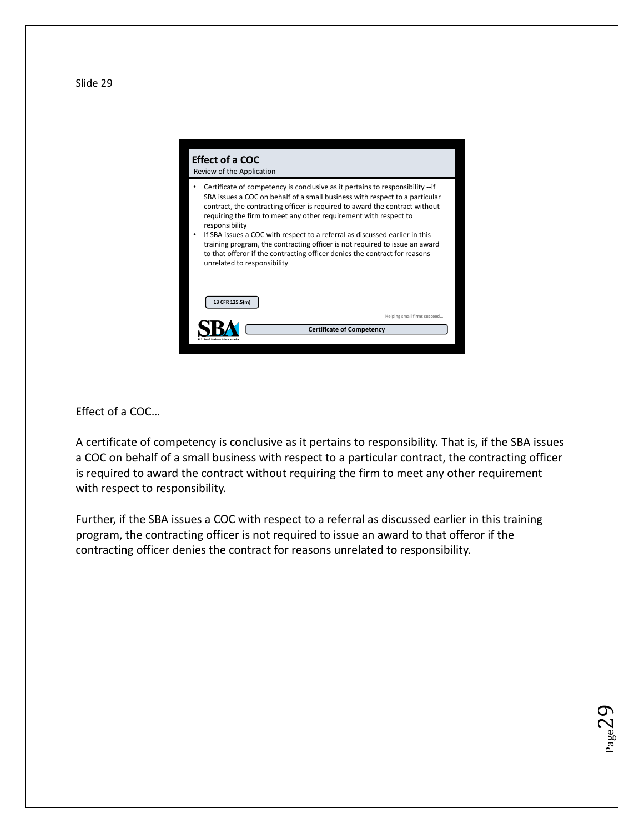

Effect of a COC…

A certificate of competency is conclusive as it pertains to responsibility. That is, if the SBA issues a COC on behalf of a small business with respect to a particular contract, the contracting officer is required to award the contract without requiring the firm to meet any other requirement with respect to responsibility.

Further, if the SBA issues a COC with respect to a referral as discussed earlier in this training program, the contracting officer is not required to issue an award to that offeror if the contracting officer denies the contract for reasons unrelated to responsibility.

 $_{\rm Page}$ 29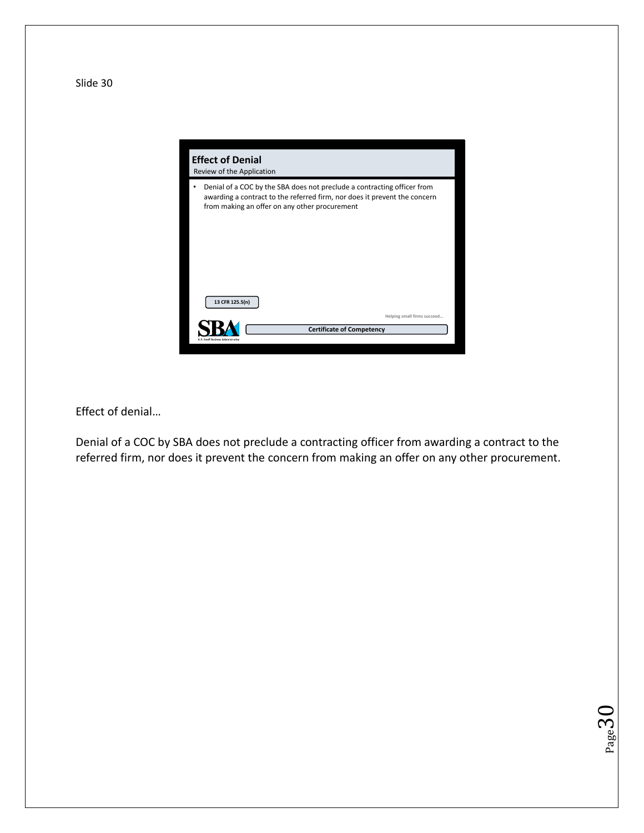

Effect of denial…

Denial of a COC by SBA does not preclude a contracting officer from awarding a contract to the referred firm, nor does it prevent the concern from making an offer on any other procurement.

 $Page30$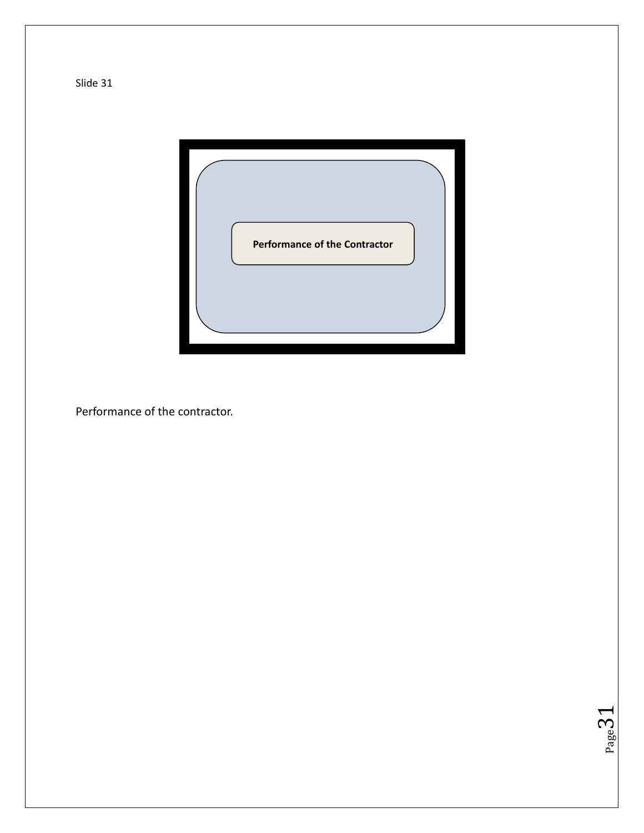

 $Page31$ 

Performance of the contractor.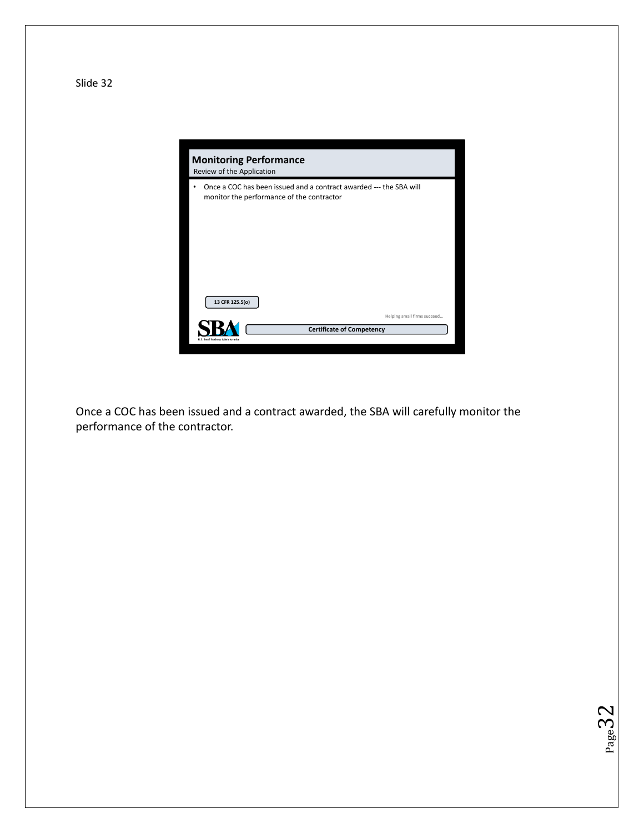

Once a COC has been issued and a contract awarded, the SBA will carefully monitor the performance of the contractor.

 $Page32$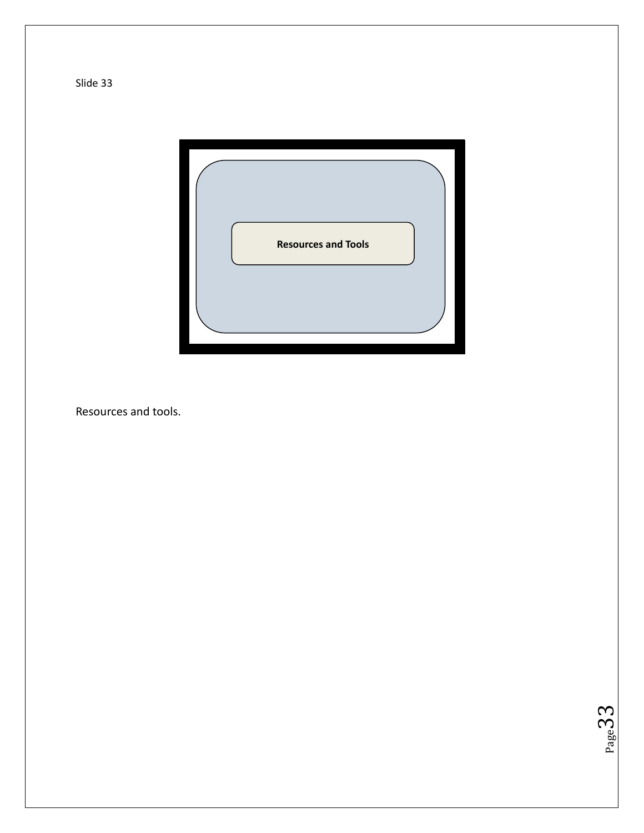

 $Page33$ 

Resources and tools.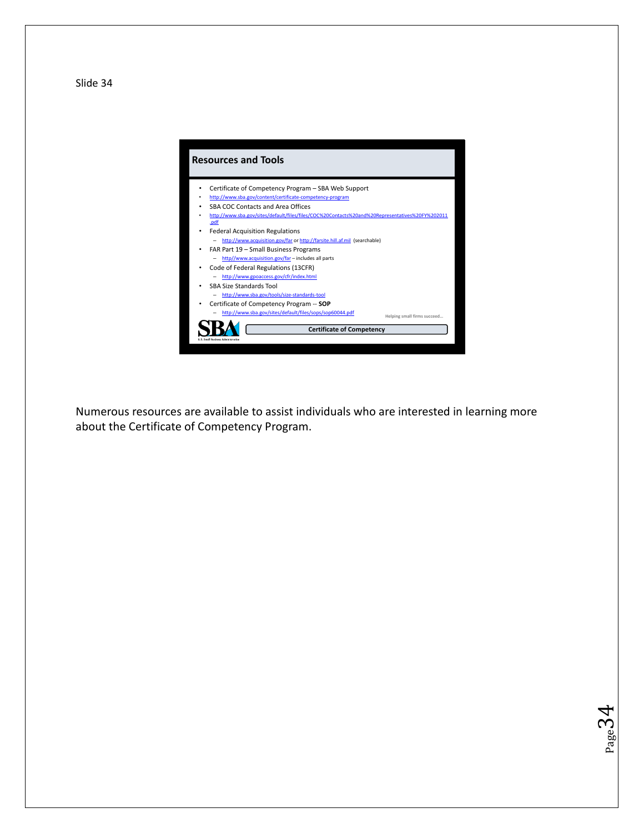

Numerous resources are available to assist individuals who are interested in learning more about the Certificate of Competency Program.

 $Page34$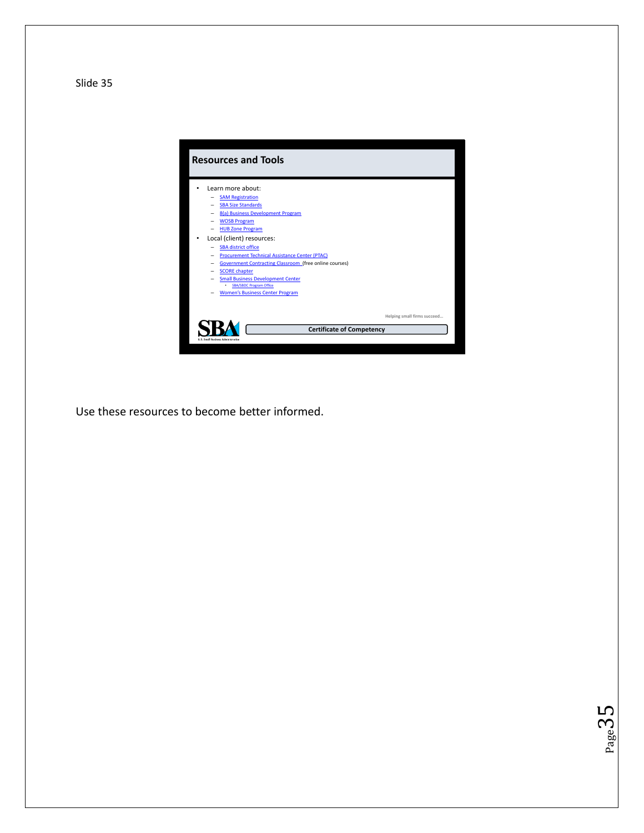

 $P_{\text{age}}$ 35

Use these resources to become better informed.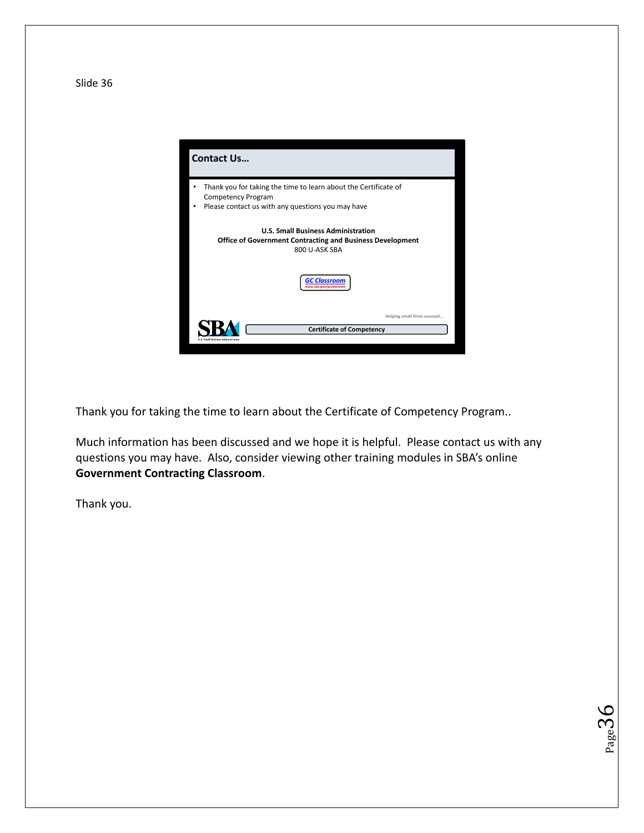

Thank you for taking the time to learn about the Certificate of Competency Program..

Much information has been discussed and we hope it is helpful. Please contact us with any questions you may have. Also, consider viewing other training modules in SBA's online **Government Contracting Classroom**.

 $Page36$ 

Thank you.